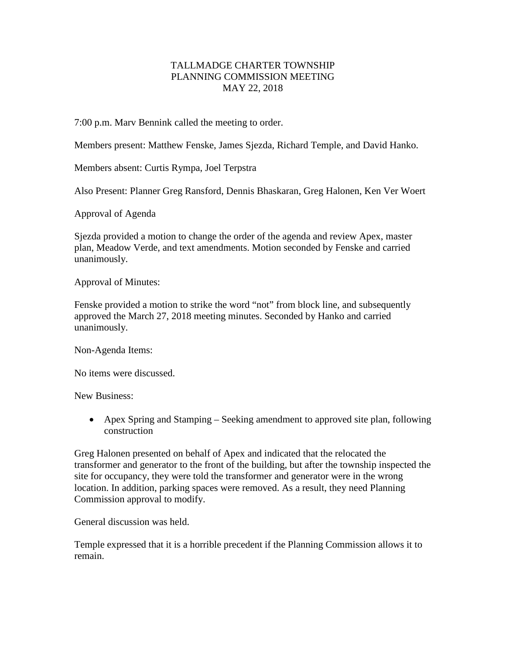## TALLMADGE CHARTER TOWNSHIP PLANNING COMMISSION MEETING MAY 22, 2018

7:00 p.m. Marv Bennink called the meeting to order.

Members present: Matthew Fenske, James Sjezda, Richard Temple, and David Hanko.

Members absent: Curtis Rympa, Joel Terpstra

Also Present: Planner Greg Ransford, Dennis Bhaskaran, Greg Halonen, Ken Ver Woert

Approval of Agenda

Sjezda provided a motion to change the order of the agenda and review Apex, master plan, Meadow Verde, and text amendments. Motion seconded by Fenske and carried unanimously.

Approval of Minutes:

Fenske provided a motion to strike the word "not" from block line, and subsequently approved the March 27, 2018 meeting minutes. Seconded by Hanko and carried unanimously.

Non-Agenda Items:

No items were discussed.

New Business:

• Apex Spring and Stamping – Seeking amendment to approved site plan, following construction

Greg Halonen presented on behalf of Apex and indicated that the relocated the transformer and generator to the front of the building, but after the township inspected the site for occupancy, they were told the transformer and generator were in the wrong location. In addition, parking spaces were removed. As a result, they need Planning Commission approval to modify.

General discussion was held.

Temple expressed that it is a horrible precedent if the Planning Commission allows it to remain.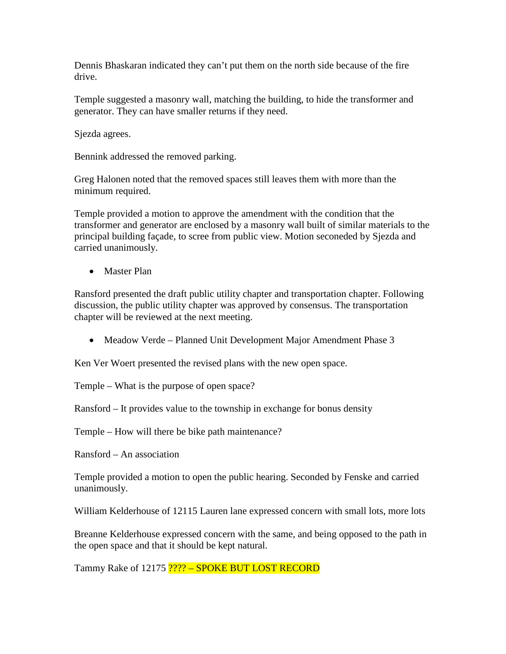Dennis Bhaskaran indicated they can't put them on the north side because of the fire drive.

Temple suggested a masonry wall, matching the building, to hide the transformer and generator. They can have smaller returns if they need.

Sjezda agrees.

Bennink addressed the removed parking.

Greg Halonen noted that the removed spaces still leaves them with more than the minimum required.

Temple provided a motion to approve the amendment with the condition that the transformer and generator are enclosed by a masonry wall built of similar materials to the principal building façade, to scree from public view. Motion seconeded by Sjezda and carried unanimously.

• Master Plan

Ransford presented the draft public utility chapter and transportation chapter. Following discussion, the public utility chapter was approved by consensus. The transportation chapter will be reviewed at the next meeting.

• Meadow Verde – Planned Unit Development Major Amendment Phase 3

Ken Ver Woert presented the revised plans with the new open space.

Temple – What is the purpose of open space?

Ransford – It provides value to the township in exchange for bonus density

Temple – How will there be bike path maintenance?

Ransford – An association

Temple provided a motion to open the public hearing. Seconded by Fenske and carried unanimously.

William Kelderhouse of 12115 Lauren lane expressed concern with small lots, more lots

Breanne Kelderhouse expressed concern with the same, and being opposed to the path in the open space and that it should be kept natural.

Tammy Rake of 12175 ???? – SPOKE BUT LOST RECORD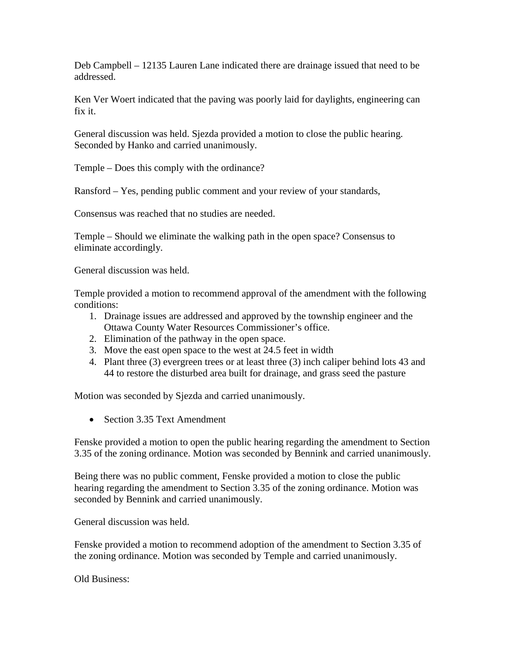Deb Campbell – 12135 Lauren Lane indicated there are drainage issued that need to be addressed.

Ken Ver Woert indicated that the paving was poorly laid for daylights, engineering can fix it.

General discussion was held. Sjezda provided a motion to close the public hearing. Seconded by Hanko and carried unanimously.

Temple – Does this comply with the ordinance?

Ransford – Yes, pending public comment and your review of your standards,

Consensus was reached that no studies are needed.

Temple – Should we eliminate the walking path in the open space? Consensus to eliminate accordingly.

General discussion was held.

Temple provided a motion to recommend approval of the amendment with the following conditions:

- 1. Drainage issues are addressed and approved by the township engineer and the Ottawa County Water Resources Commissioner's office.
- 2. Elimination of the pathway in the open space.
- 3. Move the east open space to the west at 24.5 feet in width
- 4. Plant three (3) evergreen trees or at least three (3) inch caliper behind lots 43 and 44 to restore the disturbed area built for drainage, and grass seed the pasture

Motion was seconded by Sjezda and carried unanimously.

• Section 3.35 Text Amendment

Fenske provided a motion to open the public hearing regarding the amendment to Section 3.35 of the zoning ordinance. Motion was seconded by Bennink and carried unanimously.

Being there was no public comment, Fenske provided a motion to close the public hearing regarding the amendment to Section 3.35 of the zoning ordinance. Motion was seconded by Bennink and carried unanimously.

General discussion was held.

Fenske provided a motion to recommend adoption of the amendment to Section 3.35 of the zoning ordinance. Motion was seconded by Temple and carried unanimously.

Old Business: